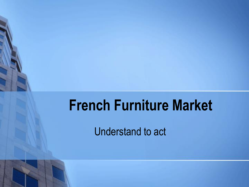# **French Furniture Market**

Understand to act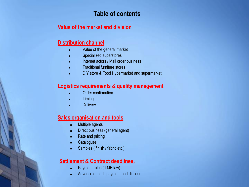#### **Table of contents**

#### **Value of the market and division**

#### **Distribution channel**

- Value of the general market
- Specialized superstores
- Internet actors / Mail order business
- **Traditional furniture stores**
- **DIY store & Food Hypermarket and supermarket.**

#### **Logistics requirements & quality management**

- Order confirmation
- **Timing**
- **Delivery**

#### **Sales organisation and tools**

- Multiple agents
- Direct business (general agent)
- Rate and pricing
- Catalogues
- Samples ( finish / fabric etc.)

#### **Settlement & Contract deadlines.**

- Payment rules (LME law)
- Advance or cash payment and discount.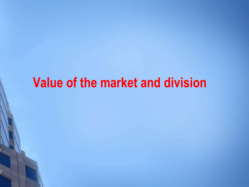## **Value of the market and division**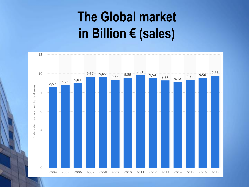# **The Global market in Billion € (sales)**

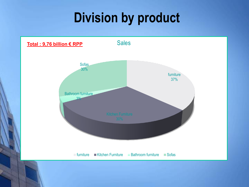# **Division by product**

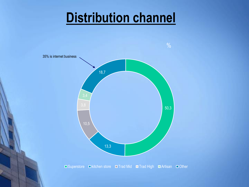## **Distribution channel**

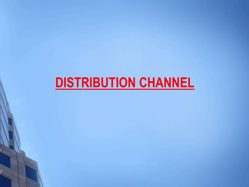# **DISTRIBUTION CHANNEL**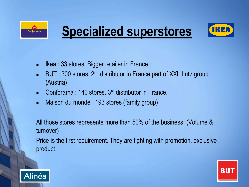

# **Specialized superstores**



- Ikea : 33 stores. Bigger retailer in France
- BUT : 300 stores. 2<sup>nd</sup> distributor in France part of XXL Lutz group (Austria)
- <sup>◼</sup> Conforama : 140 stores. 3rd distributor in France.
- Maison du monde : 193 stores (family group)

All those stores represente more than 50% of the business. (Volume & turnover)

Price is the first requirement. They are fighting with promotion, exclusive product.



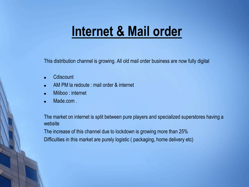## **Internet & Mail order**

This distribution channel is growing. All old mail order business are now fully digital

- Cdiscount
- AM PM la redoute : mail order & internet
- Miliboo : internet
- Made.com .

The market on internet is split between pure players and specialized superstores having a website

The increase of this channel due to lockdown is growing more than 25% Difficulties in this market are purely logistic ( packaging, home delivery etc)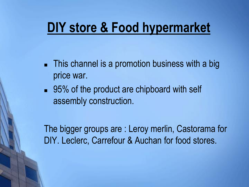## **DIY store & Food hypermarket**

- This channel is a promotion business with a big price war.
- 95% of the product are chipboard with self assembly construction.

The bigger groups are : Leroy merlin, Castorama for DIY. Leclerc, Carrefour & Auchan for food stores.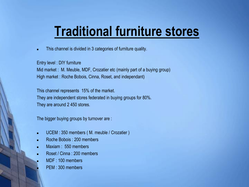## **Traditional furniture stores**

This channel is divided in 3 categories of furniture quality.

Entry level : DIY furniture Mid market : M. Meuble, MDF, Crozatier etc (mainly part of a buying group) High market : Roche Bobois, Cinna, Roset, and independant)

This channel represents 15% of the market. They are independent stores federated in buying groups for 80%. They are around 2 450 stores.

The bigger buying groups by turnover are :

- UCEM : 350 members (M. meuble / Crozatier )
- Roche Bobois : 200 members
- Maxiam : 550 members
- Roset / Cinna : 200 members
- MDF : 100 members
	- PEM : 300 members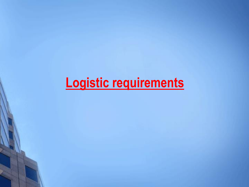# **Logistic requirements**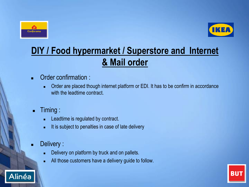



## **DIY / Food hypermarket / Superstore and Internet & Mail order**

- Order confirmation :
	- Order are placed though internet platform or EDI. It has to be confirm in accordance with the leadtime contract.
- Timing :
	- Leadtime is regulated by contract.
	- It is subject to penalties in case of late delivery
- Delivery :

Alinéa

- Delivery on platform by truck and on pallets.
- All those customers have a delivery guide to follow.

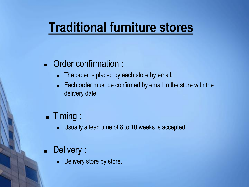## **Traditional furniture stores**

### ■ Order confirmation :

- The order is placed by each store by email.
- Each order must be confirmed by email to the store with the delivery date.

### ■ Timing :

Usually a lead time of 8 to 10 weeks is accepted

### ■ Delivery :

Delivery store by store.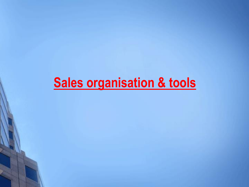# **Sales organisation & tools**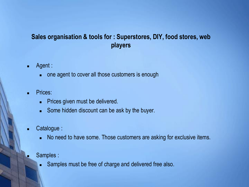### **Sales organisation & tools for : Superstores, DIY, food stores, web players**

- Agent :
	- one agent to cover all those customers is enough
- Prices:
	- Prices given must be delivered.
	- Some hidden discount can be ask by the buyer.
- Catalogue :
	- No need to have some. Those customers are asking for exclusive items.
- Samples :
	- Samples must be free of charge and delivered free also.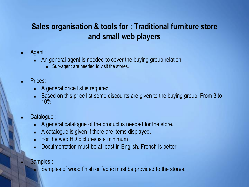### **Sales organisation & tools for : Traditional furniture store and small web players**

- Agent :
	- An general agent is needed to cover the buying group relation.
		- Sub-agent are needed to visit the stores.
- Prices:
	- A general price list is required.
	- Based on this price list some discounts are given to the buying group. From 3 to 10%.
- Catalogue :
	- A general catalogue of the product is needed for the store.
	- A catalogue is given if there are items displayed.
	- For the web HD pictures is a minimum
	- Doculmentation must be at least in English. French is better.
- Samples :
	- Samples of wood finish or fabric must be provided to the stores.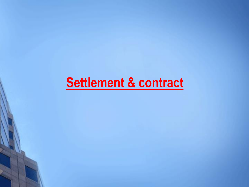# **Settlement & contract**